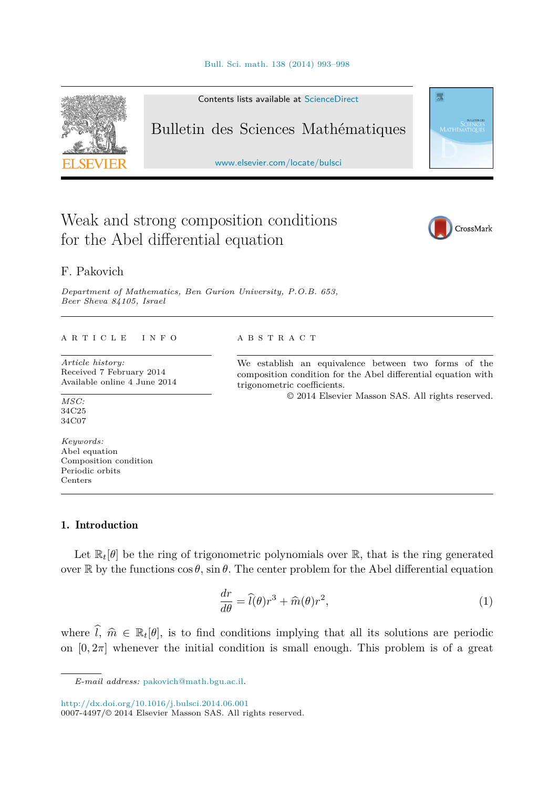<span id="page-0-0"></span>

Contents lists available at [ScienceDirect](http://www.ScienceDirect.com/)

# Bulletin des Sciences Mathématiques

[www.elsevier.com/locate/bulsci](http://www.elsevier.com/locate/bulsci)

# Weak and strong composition conditions for the Abel differential equation



靈

# F. Pakovich

*Department of Mathematics, Ben Gurion University, P.O.B. 653, Beer Sheva 84105, Israel*

#### A R T I C L E I N F O A B S T R A C T

*Article history:* Received 7 February 2014 Available online 4 June 2014

*MSC:* 34C25 34C07

*Keywords:* Abel equation Composition condition Periodic orbits Centers

We establish an equivalence between two forms of the composition condition for the Abel differential equation with trigonometric coefficients.

© 2014 Elsevier Masson SAS. All rights reserved.

# 1. Introduction

Let  $\mathbb{R}_t[\theta]$  be the ring of trigonometric polynomials over  $\mathbb{R}$ , that is the ring generated over  $\mathbb R$  by the functions  $\cos \theta$ ,  $\sin \theta$ . The center problem for the Abel differential equation

$$
\frac{dr}{d\theta} = \hat{l}(\theta)r^3 + \hat{m}(\theta)r^2,\tag{1}
$$

where  $\hat{l}, \hat{m} \in \mathbb{R}_t[\theta]$ , is to find conditions implying that all its solutions are periodic on  $[0, 2\pi]$  whenever the initial condition is small enough. This problem is of a great

<http://dx.doi.org/10.1016/j.bulsci.2014.06.001>

0007-4497/© 2014 Elsevier Masson SAS. All rights reserved.

*E-mail address:* [pakovich@math.bgu.ac.il.](mailto:pakovich@math.bgu.ac.il)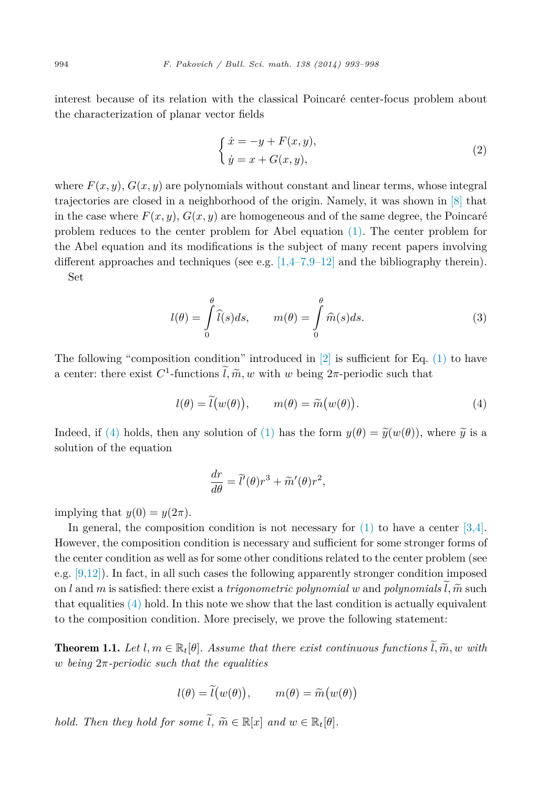<span id="page-1-0"></span>interest because of its relation with the classical Poincaré center-focus problem about the characterization of planar vector fields

$$
\begin{cases} \n\dot{x} = -y + F(x, y), \\ \n\dot{y} = x + G(x, y), \n\end{cases} \tag{2}
$$

where  $F(x, y)$ ,  $G(x, y)$  are polynomials without constant and linear terms, whose integral trajectories are closed in a neighborhood of the origin. Namely, it was shown in [\[8\]](#page-5-0) that in the case where  $F(x, y)$ ,  $G(x, y)$  are homogeneous and of the same degree, the Poincaré problem reduces to the center problem for Abel equation [\(1\).](#page-0-0) The center problem for the Abel equation and its modifications is the subject of many recent papers involving different approaches and techniques (see e.g.  $[1,4-7,9-12]$  and the bibliography therein). Set

$$
l(\theta) = \int_{0}^{\theta} \widehat{l}(s)ds, \qquad m(\theta) = \int_{0}^{\theta} \widehat{m}(s)ds.
$$
 (3)

The following "composition condition" introduced in  $[2]$  is sufficient for Eq. [\(1\)](#page-0-0) to have a center: there exist  $C^1$ -functions  $\tilde{l}, \tilde{m}, w$  with *w* being  $2\pi$ -periodic such that

$$
l(\theta) = \tilde{l}(w(\theta)), \qquad m(\theta) = \tilde{m}(w(\theta)). \tag{4}
$$

Indeed, if (4) holds, then any solution of [\(1\)](#page-0-0) has the form  $y(\theta) = \tilde{y}(w(\theta))$ , where  $\tilde{y}$  is a solution of the equation

$$
\frac{dr}{d\theta} = \tilde{l}'(\theta)r^3 + \tilde{m}'(\theta)r^2,
$$

implying that  $y(0) = y(2\pi)$ .

In general, the composition condition is not necessary for  $(1)$  to have a center [\[3,4\].](#page-4-0) However, the composition condition is necessary and sufficient for some stronger forms of the center condition as well as for some other conditions related to the center problem (see e.g. [\[9,12\]\)](#page-5-0). In fact, in all such cases the following apparently stronger condition imposed on *l* and *m* is satisfied: there exist a *trigonometric polynomial w* and *polynomials*  $\tilde{l}, \tilde{m}$  such that equalities (4) hold. In this note we show that the last condition is actually equivalent to the composition condition. More precisely, we prove the following statement:

**Theorem 1.1.** Let  $l, m \in \mathbb{R}_t[\theta]$ . Assume that there exist continuous functions  $\tilde{l}, \tilde{m}, w$  with *w being* 2*π-periodic such that the equalities*

$$
l(\theta) = \tilde{l}(w(\theta)), \qquad m(\theta) = \tilde{m}(w(\theta))
$$

*hold. Then they hold for some*  $\widetilde{l}$ *,*  $\widetilde{m} \in \mathbb{R}[x]$  *and*  $w \in \mathbb{R}_t[\theta]$ *.*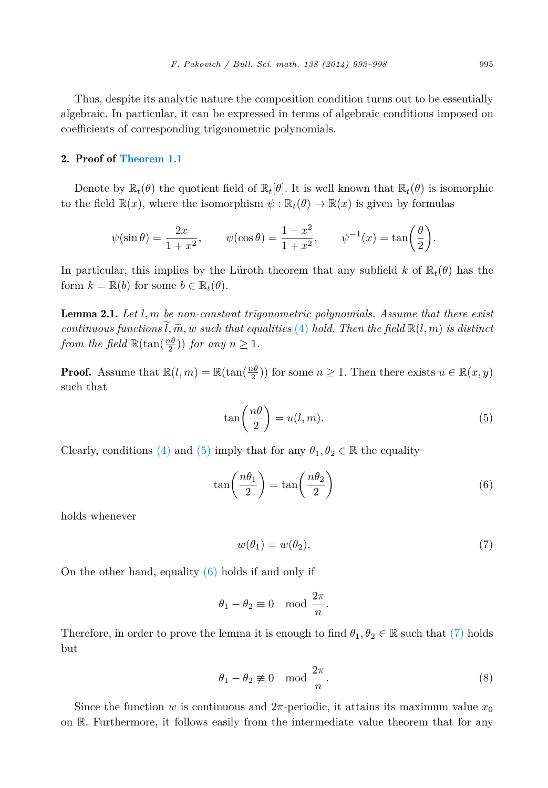<span id="page-2-0"></span>Thus, despite its analytic nature the composition condition turns out to be essentially algebraic. In particular, it can be expressed in terms of algebraic conditions imposed on coefficients of corresponding trigonometric polynomials.

## 2. Proof of [Theorem 1.1](#page-1-0)

Denote by  $\mathbb{R}_t(\theta)$  the quotient field of  $\mathbb{R}_t[\theta]$ . It is well known that  $\mathbb{R}_t(\theta)$  is isomorphic to the field  $\mathbb{R}(x)$ , where the isomorphism  $\psi : \mathbb{R}_t(\theta) \to \mathbb{R}(x)$  is given by formulas

$$
\psi(\sin \theta) = \frac{2x}{1+x^2}, \qquad \psi(\cos \theta) = \frac{1-x^2}{1+x^2}, \qquad \psi^{-1}(x) = \tan\left(\frac{\theta}{2}\right).
$$

In particular, this implies by the Lüroth theorem that any subfield *k* of  $\mathbb{R}_t(\theta)$  has the form  $k = \mathbb{R}(b)$  for some  $b \in \mathbb{R}_t(\theta)$ .

Lemma 2.1. *Let l, m be non-constant trigonometric polynomials. Assume that there exist continuous* functions  $\tilde{l}, \tilde{m}, w$  *such that equalities* [\(4\)](#page-1-0) *hold. Then the field*  $\mathbb{R}(l,m)$  *is distinct from the field*  $\mathbb{R}(\tan(\frac{n\theta}{2}))$  *for any*  $n \geq 1$ *.* 

**Proof.** Assume that  $\mathbb{R}(l,m) = \mathbb{R}(\tan(\frac{n\theta}{2}))$  for some  $n \geq 1$ . Then there exists  $u \in \mathbb{R}(x,y)$ such that

$$
\tan\left(\frac{n\theta}{2}\right) = u(l, m). \tag{5}
$$

Clearly, conditions [\(4\)](#page-1-0) and (5) imply that for any  $\theta_1, \theta_2 \in \mathbb{R}$  the equality

$$
\tan\left(\frac{n\theta_1}{2}\right) = \tan\left(\frac{n\theta_2}{2}\right) \tag{6}
$$

holds whenever

$$
w(\theta_1) = w(\theta_2). \tag{7}
$$

On the other hand, equality (6) holds if and only if

$$
\theta_1 - \theta_2 \equiv 0 \mod \frac{2\pi}{n}.
$$

Therefore, in order to prove the lemma it is enough to find  $\theta_1, \theta_2 \in \mathbb{R}$  such that (7) holds but

$$
\theta_1 - \theta_2 \not\equiv 0 \mod \frac{2\pi}{n}.\tag{8}
$$

Since the function *w* is continuous and  $2\pi$ -periodic, it attains its maximum value  $x_0$ on R. Furthermore, it follows easily from the intermediate value theorem that for any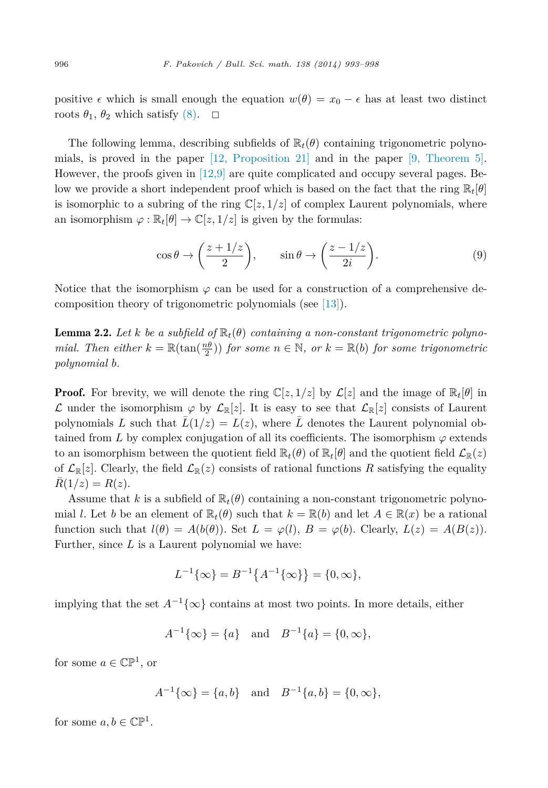<span id="page-3-0"></span>positive  $\epsilon$  which is small enough the equation  $w(\theta) = x_0 - \epsilon$  has at least two distinct roots  $\theta_1$ ,  $\theta_2$  which satisfy [\(8\).](#page-2-0)  $\Box$ 

The following lemma, describing subfields of  $\mathbb{R}_t(\theta)$  containing trigonometric polynomials, is proved in the paper [12, [Proposition 21\]](#page-5-0) and in the paper [9, [Theorem 5\].](#page-5-0) However, the proofs given in  $[12,9]$  are quite complicated and occupy several pages. Below we provide a short independent proof which is based on the fact that the ring  $\mathbb{R}_t[\theta]$ is isomorphic to a subring of the ring  $\mathbb{C}[z, 1/z]$  of complex Laurent polynomials, where an isomorphism  $\varphi : \mathbb{R}_t[\theta] \to \mathbb{C}[z, 1/z]$  is given by the formulas:

$$
\cos \theta \to \left(\frac{z+1/z}{2}\right), \qquad \sin \theta \to \left(\frac{z-1/z}{2i}\right). \tag{9}
$$

Notice that the isomorphism  $\varphi$  can be used for a construction of a comprehensive decomposition theory of trigonometric polynomials (see [\[13\]\)](#page-5-0).

**Lemma 2.2.** Let *k* be a subfield of  $\mathbb{R}_t(\theta)$  containing a non-constant trigonometric polyno*mial. Then either*  $k = \mathbb{R}(\tan(\frac{n\theta}{2}))$  *for some*  $n \in \mathbb{N}$ *, or*  $k = \mathbb{R}(b)$  *for some trigonometric polynomial b.*

**Proof.** For brevity, we will denote the ring  $\mathbb{C}[z, 1/z]$  by  $\mathcal{L}[z]$  and the image of  $\mathbb{R}_t[\theta]$  in L under the isomorphism  $\varphi$  by  $\mathcal{L}_{\mathbb{R}}[z]$ . It is easy to see that  $\mathcal{L}_{\mathbb{R}}[z]$  consists of Laurent polynomials L such that  $\bar{L}(1/z) = L(z)$ , where  $\bar{L}$  denotes the Laurent polynomial obtained from *L* by complex conjugation of all its coefficients. The isomorphism  $\varphi$  extends to an isomorphism between the quotient field  $\mathbb{R}_t(\theta)$  of  $\mathbb{R}_t[\theta]$  and the quotient field  $\mathcal{L}_{\mathbb{R}}(z)$ of  $\mathcal{L}_{\mathbb{R}}[z]$ . Clearly, the field  $\mathcal{L}_{\mathbb{R}}(z)$  consists of rational functions R satisfying the equality  $R(1/z) = R(z)$ .

Assume that *k* is a subfield of  $\mathbb{R}_t(\theta)$  containing a non-constant trigonometric polynomial *l*. Let *b* be an element of  $\mathbb{R}_t(\theta)$  such that  $k = \mathbb{R}(b)$  and let  $A \in \mathbb{R}(x)$  be a rational function such that  $l(\theta) = A(b(\theta))$ . Set  $L = \varphi(l)$ ,  $B = \varphi(b)$ . Clearly,  $L(z) = A(B(z))$ . Further, since *L* is a Laurent polynomial we have:

$$
L^{-1}\{\infty\} = B^{-1}\{A^{-1}\{\infty\}\} = \{0, \infty\},\
$$

implying that the set  $A^{-1}\{\infty\}$  contains at most two points. In more details, either

$$
A^{-1}{\lbrace \infty \rbrace} = {a}
$$
 and  $B^{-1}{a} = {0, \infty}$ ,

for some  $a \in \mathbb{CP}^1$ , or

$$
A^{-1}{\lbrace \infty \rbrace} = {a,b}
$$
 and  $B^{-1}{\lbrace a,b \rbrace} = {\lbrace 0, \infty \rbrace}$ ,

for some  $a, b \in \mathbb{CP}^1$ .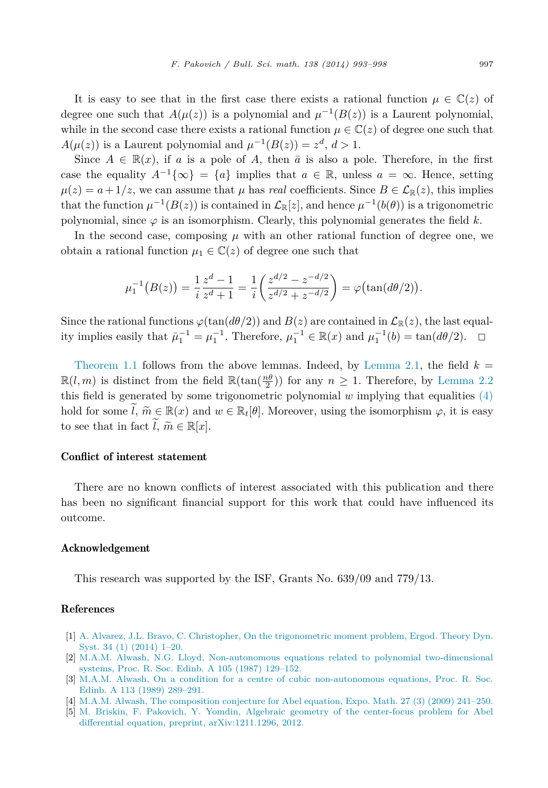<span id="page-4-0"></span>It is easy to see that in the first case there exists a rational function  $\mu \in \mathbb{C}(z)$  of degree one such that  $A(\mu(z))$  is a polynomial and  $\mu^{-1}(B(z))$  is a Laurent polynomial, while in the second case there exists a rational function  $\mu \in \mathbb{C}(z)$  of degree one such that  $A(\mu(z))$  is a Laurent polynomial and  $\mu^{-1}(B(z)) = z^d, d > 1$ .

Since  $A \in \mathbb{R}(x)$ , if a is a pole of A, then  $\bar{a}$  is also a pole. Therefore, in the first case the equality  $A^{-1}{\lbrace \infty \rbrace} = {a}$  implies that  $a \in \mathbb{R}$ , unless  $a = \infty$ . Hence, setting  $\mu(z) = a + 1/z$ , we can assume that  $\mu$  has *real* coefficients. Since  $B \in \mathcal{L}_{\mathbb{R}}(z)$ , this implies that the function  $\mu^{-1}(B(z))$  is contained in  $\mathcal{L}_{\mathbb{R}}[z]$ , and hence  $\mu^{-1}(b(\theta))$  is a trigonometric polynomial, since  $\varphi$  is an isomorphism. Clearly, this polynomial generates the field  $k$ .

In the second case, composing  $\mu$  with an other rational function of degree one, we obtain a rational function  $\mu_1 \in \mathbb{C}(z)$  of degree one such that

$$
\mu_1^{-1}(B(z)) = \frac{1}{i} \frac{z^d - 1}{z^d + 1} = \frac{1}{i} \left( \frac{z^{d/2} - z^{-d/2}}{z^{d/2} + z^{-d/2}} \right) = \varphi(\tan(d\theta/2)).
$$

Since the rational functions  $\varphi(\tan(d\theta/2))$  and  $B(z)$  are contained in  $\mathcal{L}_{\mathbb{R}}(z)$ , the last equal-<br>ity implies easily that  $\bar{u}_1^{-1} = \mu_1^{-1}$ . Therefore,  $\mu_1^{-1} \in \mathbb{R}(x)$  and  $\mu_1^{-1}(b) = \tan(d\theta/2)$ .  $\Box$ ity implies easily that  $\bar{\mu}_1^{-1} = \mu_1^{-1}$ . Therefore,  $\mu_1^{-1} \in \mathbb{R}(x)$  and  $\mu_1^{-1}(b) = \tan(d\theta/2)$ .  $\Box$ 

[Theorem 1.1](#page-1-0) follows from the above lemmas. Indeed, by [Lemma 2.1,](#page-2-0) the field  $k =$  $\mathbb{R}(l,m)$  is distinct from the field  $\mathbb{R}(\tan(\frac{n\theta}{2}))$  for any  $n \geq 1$ . Therefore, by [Lemma 2.2](#page-3-0) this field is generated by some trigonometric polynomial *w* implying that equalities [\(4\)](#page-1-0) hold for some  $\tilde{l}$ ,  $\tilde{m} \in \mathbb{R}(x)$  and  $w \in \mathbb{R}_t[\theta]$ . Moreover, using the isomorphism  $\varphi$ , it is easy to see that in fact  $\widetilde{l}$ ,  $\widetilde{m} \in \mathbb{R}[x]$ .

# Conflict of interest statement

There are no known conflicts of interest associated with this publication and there has been no significant financial support for this work that could have influenced its outcome.

### Acknowledgement

This research was supported by the ISF, Grants No. 639/09 and 779/13.

# References

- [1] A. Alvarez, J.L. Bravo, C. Christopher, On the [trigonometric](http://refhub.elsevier.com/S0007-4497(14)00040-2/bib616263s1) moment problem, Ergod. Theory Dyn. Syst. 34 (1) [\(2014\)](http://refhub.elsevier.com/S0007-4497(14)00040-2/bib616263s1) 1–20.
- [2] M.A.M. Alwash, N.G. Lloyd, [Non-autonomous](http://refhub.elsevier.com/S0007-4497(14)00040-2/bib616Cs1) equations related to polynomial two-dimensional systems, Proc. R. Soc. Edinb. A 105 (1987) [129–152.](http://refhub.elsevier.com/S0007-4497(14)00040-2/bib616Cs1)
- [3] M.A.M. Alwash, On a condition for a centre of cubic [non-autonomous](http://refhub.elsevier.com/S0007-4497(14)00040-2/bib616C77s1) equations, Proc. R. Soc. Edinb. A 113 (1989) [289–291.](http://refhub.elsevier.com/S0007-4497(14)00040-2/bib616C77s1)
- [4] M.A.M. Alwash, The [composition](http://refhub.elsevier.com/S0007-4497(14)00040-2/bib616C7731s1) conjecture for Abel equation, Expo. Math. 27 (3) (2009) 241–250.
- [5] M. Briskin, F. Pakovich, Y. Yomdin, Algebraic geometry of the [center-focus](http://refhub.elsevier.com/S0007-4497(14)00040-2/bib627079s1) problem for Abel differential equation, preprint, [arXiv:1211.1296,](http://refhub.elsevier.com/S0007-4497(14)00040-2/bib627079s1) 2012.